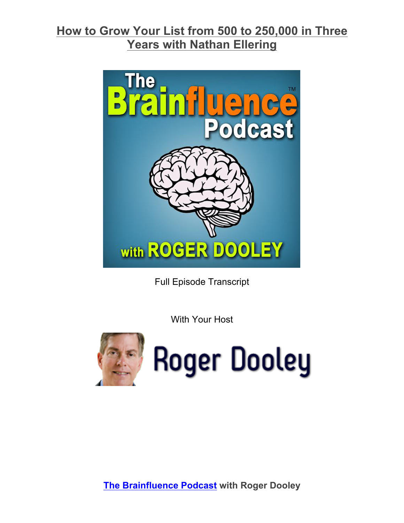

Full Episode Transcript

With Your Host

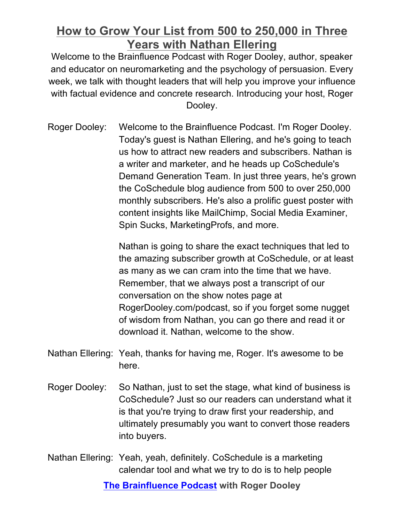Welcome to the Brainfluence Podcast with Roger Dooley, author, speaker and educator on neuromarketing and the psychology of persuasion. Every week, we talk with thought leaders that will help you improve your influence with factual evidence and concrete research. Introducing your host, Roger Dooley.

Roger Dooley: Welcome to the Brainfluence Podcast. I'm Roger Dooley. Today's guest is Nathan Ellering, and he's going to teach us how to attract new readers and subscribers. Nathan is a writer and marketer, and he heads up CoSchedule's Demand Generation Team. In just three years, he's grown the CoSchedule blog audience from 500 to over 250,000 monthly subscribers. He's also a prolific guest poster with content insights like MailChimp, Social Media Examiner, Spin Sucks, MarketingProfs, and more.

> Nathan is going to share the exact techniques that led to the amazing subscriber growth at CoSchedule, or at least as many as we can cram into the time that we have. Remember, that we always post a transcript of our conversation on the show notes page at RogerDooley.com/podcast, so if you forget some nugget of wisdom from Nathan, you can go there and read it or download it. Nathan, welcome to the show.

- Nathan Ellering: Yeah, thanks for having me, Roger. It's awesome to be here.
- Roger Dooley: So Nathan, just to set the stage, what kind of business is CoSchedule? Just so our readers can understand what it is that you're trying to draw first your readership, and ultimately presumably you want to convert those readers into buyers.
- Nathan Ellering: Yeah, yeah, definitely. CoSchedule is a marketing calendar tool and what we try to do is to help people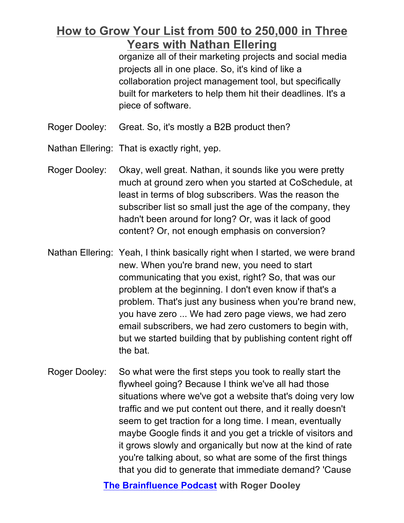organize all of their marketing projects and social media projects all in one place. So, it's kind of like a collaboration project management tool, but specifically built for marketers to help them hit their deadlines. It's a piece of software.

Roger Dooley: Great. So, it's mostly a B2B product then?

Nathan Ellering: That is exactly right, yep.

- Roger Dooley: Okay, well great. Nathan, it sounds like you were pretty much at ground zero when you started at CoSchedule, at least in terms of blog subscribers. Was the reason the subscriber list so small just the age of the company, they hadn't been around for long? Or, was it lack of good content? Or, not enough emphasis on conversion?
- Nathan Ellering: Yeah, I think basically right when I started, we were brand new. When you're brand new, you need to start communicating that you exist, right? So, that was our problem at the beginning. I don't even know if that's a problem. That's just any business when you're brand new, you have zero ... We had zero page views, we had zero email subscribers, we had zero customers to begin with, but we started building that by publishing content right off the bat.
- Roger Dooley: So what were the first steps you took to really start the flywheel going? Because I think we've all had those situations where we've got a website that's doing very low traffic and we put content out there, and it really doesn't seem to get traction for a long time. I mean, eventually maybe Google finds it and you get a trickle of visitors and it grows slowly and organically but now at the kind of rate you're talking about, so what are some of the first things that you did to generate that immediate demand? 'Cause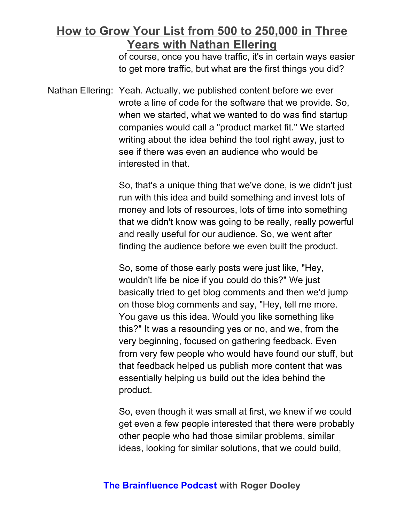of course, once you have traffic, it's in certain ways easier to get more traffic, but what are the first things you did?

Nathan Ellering: Yeah. Actually, we published content before we ever wrote a line of code for the software that we provide. So, when we started, what we wanted to do was find startup companies would call a "product market fit." We started writing about the idea behind the tool right away, just to see if there was even an audience who would be interested in that.

> So, that's a unique thing that we've done, is we didn't just run with this idea and build something and invest lots of money and lots of resources, lots of time into something that we didn't know was going to be really, really powerful and really useful for our audience. So, we went after finding the audience before we even built the product.

> So, some of those early posts were just like, "Hey, wouldn't life be nice if you could do this?" We just basically tried to get blog comments and then we'd jump on those blog comments and say, "Hey, tell me more. You gave us this idea. Would you like something like this?" It was a resounding yes or no, and we, from the very beginning, focused on gathering feedback. Even from very few people who would have found our stuff, but that feedback helped us publish more content that was essentially helping us build out the idea behind the product.

> So, even though it was small at first, we knew if we could get even a few people interested that there were probably other people who had those similar problems, similar ideas, looking for similar solutions, that we could build,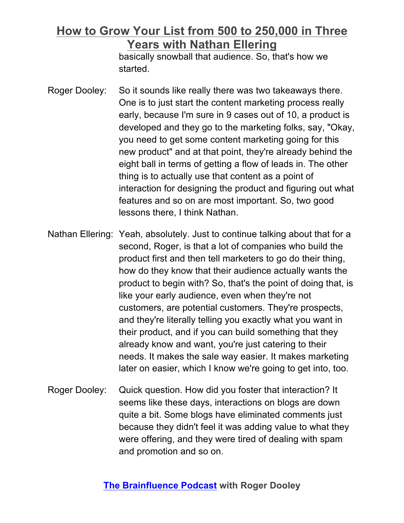basically snowball that audience. So, that's how we started.

- Roger Dooley: So it sounds like really there was two takeaways there. One is to just start the content marketing process really early, because I'm sure in 9 cases out of 10, a product is developed and they go to the marketing folks, say, "Okay, you need to get some content marketing going for this new product" and at that point, they're already behind the eight ball in terms of getting a flow of leads in. The other thing is to actually use that content as a point of interaction for designing the product and figuring out what features and so on are most important. So, two good lessons there, I think Nathan.
- Nathan Ellering: Yeah, absolutely. Just to continue talking about that for a second, Roger, is that a lot of companies who build the product first and then tell marketers to go do their thing, how do they know that their audience actually wants the product to begin with? So, that's the point of doing that, is like your early audience, even when they're not customers, are potential customers. They're prospects, and they're literally telling you exactly what you want in their product, and if you can build something that they already know and want, you're just catering to their needs. It makes the sale way easier. It makes marketing later on easier, which I know we're going to get into, too.
- Roger Dooley: Quick question. How did you foster that interaction? It seems like these days, interactions on blogs are down quite a bit. Some blogs have eliminated comments just because they didn't feel it was adding value to what they were offering, and they were tired of dealing with spam and promotion and so on.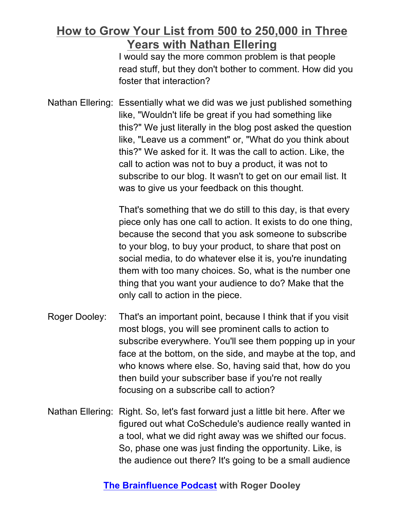I would say the more common problem is that people read stuff, but they don't bother to comment. How did you foster that interaction?

Nathan Ellering: Essentially what we did was we just published something like, "Wouldn't life be great if you had something like this?" We just literally in the blog post asked the question like, "Leave us a comment" or, "What do you think about this?" We asked for it. It was the call to action. Like, the call to action was not to buy a product, it was not to subscribe to our blog. It wasn't to get on our email list. It was to give us your feedback on this thought.

> That's something that we do still to this day, is that every piece only has one call to action. It exists to do one thing, because the second that you ask someone to subscribe to your blog, to buy your product, to share that post on social media, to do whatever else it is, you're inundating them with too many choices. So, what is the number one thing that you want your audience to do? Make that the only call to action in the piece.

- Roger Dooley: That's an important point, because I think that if you visit most blogs, you will see prominent calls to action to subscribe everywhere. You'll see them popping up in your face at the bottom, on the side, and maybe at the top, and who knows where else. So, having said that, how do you then build your subscriber base if you're not really focusing on a subscribe call to action?
- Nathan Ellering: Right. So, let's fast forward just a little bit here. After we figured out what CoSchedule's audience really wanted in a tool, what we did right away was we shifted our focus. So, phase one was just finding the opportunity. Like, is the audience out there? It's going to be a small audience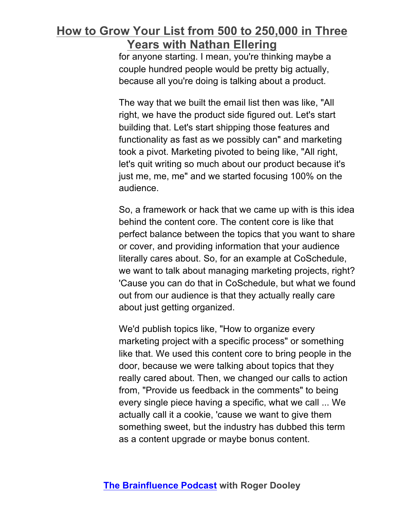for anyone starting. I mean, you're thinking maybe a couple hundred people would be pretty big actually, because all you're doing is talking about a product.

The way that we built the email list then was like, "All right, we have the product side figured out. Let's start building that. Let's start shipping those features and functionality as fast as we possibly can" and marketing took a pivot. Marketing pivoted to being like, "All right, let's quit writing so much about our product because it's just me, me, me" and we started focusing 100% on the audience.

So, a framework or hack that we came up with is this idea behind the content core. The content core is like that perfect balance between the topics that you want to share or cover, and providing information that your audience literally cares about. So, for an example at CoSchedule, we want to talk about managing marketing projects, right? 'Cause you can do that in CoSchedule, but what we found out from our audience is that they actually really care about just getting organized.

We'd publish topics like, "How to organize every marketing project with a specific process" or something like that. We used this content core to bring people in the door, because we were talking about topics that they really cared about. Then, we changed our calls to action from, "Provide us feedback in the comments" to being every single piece having a specific, what we call ... We actually call it a cookie, 'cause we want to give them something sweet, but the industry has dubbed this term as a content upgrade or maybe bonus content.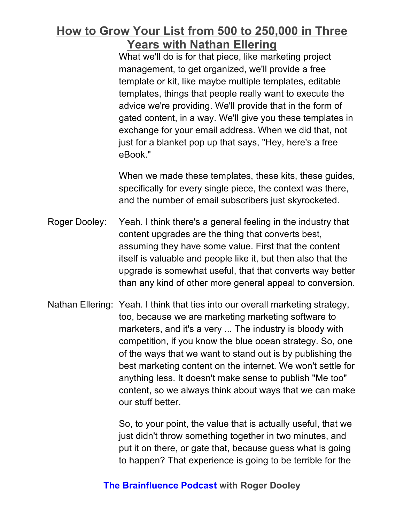What we'll do is for that piece, like marketing project management, to get organized, we'll provide a free template or kit, like maybe multiple templates, editable templates, things that people really want to execute the advice we're providing. We'll provide that in the form of gated content, in a way. We'll give you these templates in exchange for your email address. When we did that, not just for a blanket pop up that says, "Hey, here's a free eBook."

When we made these templates, these kits, these guides, specifically for every single piece, the context was there, and the number of email subscribers just skyrocketed.

- Roger Dooley: Yeah. I think there's a general feeling in the industry that content upgrades are the thing that converts best, assuming they have some value. First that the content itself is valuable and people like it, but then also that the upgrade is somewhat useful, that that converts way better than any kind of other more general appeal to conversion.
- Nathan Ellering: Yeah. I think that ties into our overall marketing strategy, too, because we are marketing marketing software to marketers, and it's a very ... The industry is bloody with competition, if you know the blue ocean strategy. So, one of the ways that we want to stand out is by publishing the best marketing content on the internet. We won't settle for anything less. It doesn't make sense to publish "Me too" content, so we always think about ways that we can make our stuff better.

So, to your point, the value that is actually useful, that we just didn't throw something together in two minutes, and put it on there, or gate that, because guess what is going to happen? That experience is going to be terrible for the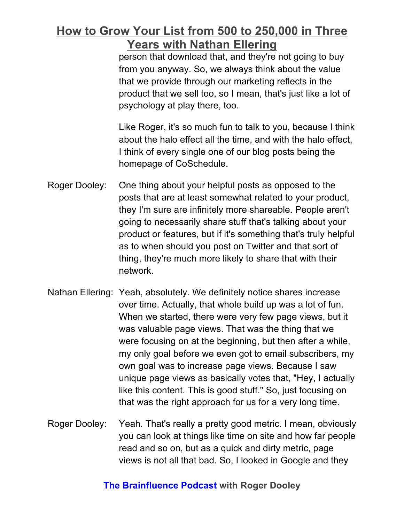person that download that, and they're not going to buy from you anyway. So, we always think about the value that we provide through our marketing reflects in the product that we sell too, so I mean, that's just like a lot of psychology at play there, too.

Like Roger, it's so much fun to talk to you, because I think about the halo effect all the time, and with the halo effect, I think of every single one of our blog posts being the homepage of CoSchedule.

- Roger Dooley: One thing about your helpful posts as opposed to the posts that are at least somewhat related to your product, they I'm sure are infinitely more shareable. People aren't going to necessarily share stuff that's talking about your product or features, but if it's something that's truly helpful as to when should you post on Twitter and that sort of thing, they're much more likely to share that with their network.
- Nathan Ellering: Yeah, absolutely. We definitely notice shares increase over time. Actually, that whole build up was a lot of fun. When we started, there were very few page views, but it was valuable page views. That was the thing that we were focusing on at the beginning, but then after a while, my only goal before we even got to email subscribers, my own goal was to increase page views. Because I saw unique page views as basically votes that, "Hey, I actually like this content. This is good stuff." So, just focusing on that was the right approach for us for a very long time.
- Roger Dooley: Yeah. That's really a pretty good metric. I mean, obviously you can look at things like time on site and how far people read and so on, but as a quick and dirty metric, page views is not all that bad. So, I looked in Google and they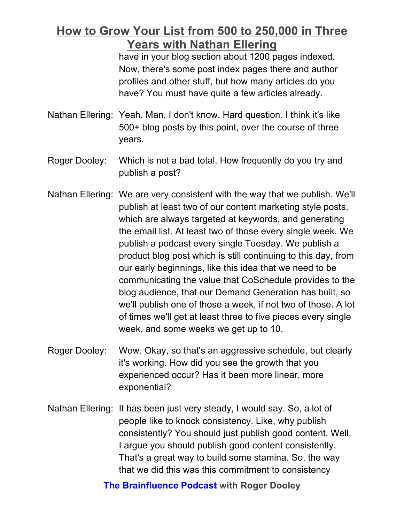have in your blog section about 1200 pages indexed. Now, there's some post index pages there and author profiles and other stuff, but how many articles do you have? You must have quite a few articles already.

- Nathan Ellering: Yeah. Man, I don't know. Hard question. I think it's like 500+ blog posts by this point, over the course of three years.
- Roger Dooley: Which is not a bad total. How frequently do you try and publish a post?
- Nathan Ellering: We are very consistent with the way that we publish. We'll publish at least two of our content marketing style posts, which are always targeted at keywords, and generating the email list. At least two of those every single week. We publish a podcast every single Tuesday. We publish a product blog post which is still continuing to this day, from our early beginnings, like this idea that we need to be communicating the value that CoSchedule provides to the blog audience, that our Demand Generation has built, so we'll publish one of those a week, if not two of those. A lot of times we'll get at least three to five pieces every single week, and some weeks we get up to 10.
- Roger Dooley: Wow. Okay, so that's an aggressive schedule, but clearly it's working. How did you see the growth that you experienced occur? Has it been more linear, more exponential?
- Nathan Ellering: It has been just very steady, I would say. So, a lot of people like to knock consistency. Like, why publish consistently? You should just publish good content. Well, I argue you should publish good content consistently. That's a great way to build some stamina. So, the way that we did this was this commitment to consistency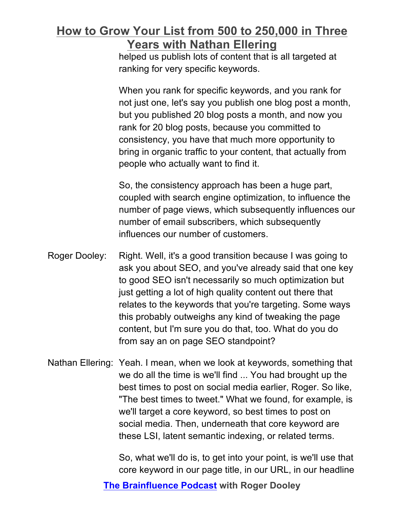helped us publish lots of content that is all targeted at ranking for very specific keywords.

When you rank for specific keywords, and you rank for not just one, let's say you publish one blog post a month, but you published 20 blog posts a month, and now you rank for 20 blog posts, because you committed to consistency, you have that much more opportunity to bring in organic traffic to your content, that actually from people who actually want to find it.

So, the consistency approach has been a huge part, coupled with search engine optimization, to influence the number of page views, which subsequently influences our number of email subscribers, which subsequently influences our number of customers.

- Roger Dooley: Right. Well, it's a good transition because I was going to ask you about SEO, and you've already said that one key to good SEO isn't necessarily so much optimization but just getting a lot of high quality content out there that relates to the keywords that you're targeting. Some ways this probably outweighs any kind of tweaking the page content, but I'm sure you do that, too. What do you do from say an on page SEO standpoint?
- Nathan Ellering: Yeah. I mean, when we look at keywords, something that we do all the time is we'll find ... You had brought up the best times to post on social media earlier, Roger. So like, "The best times to tweet." What we found, for example, is we'll target a core keyword, so best times to post on social media. Then, underneath that core keyword are these LSI, latent semantic indexing, or related terms.

So, what we'll do is, to get into your point, is we'll use that core keyword in our page title, in our URL, in our headline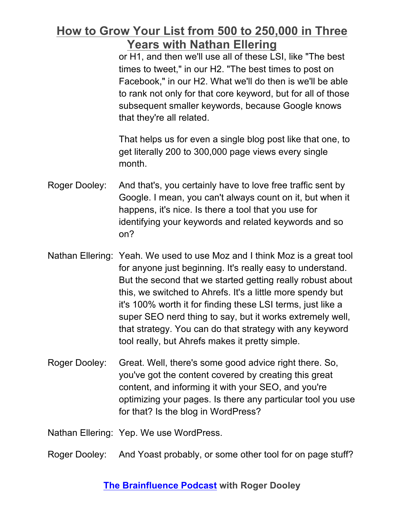or H1, and then we'll use all of these LSI, like "The best times to tweet," in our H2. "The best times to post on Facebook," in our H2. What we'll do then is we'll be able to rank not only for that core keyword, but for all of those subsequent smaller keywords, because Google knows that they're all related.

That helps us for even a single blog post like that one, to get literally 200 to 300,000 page views every single month.

- Roger Dooley: And that's, you certainly have to love free traffic sent by Google. I mean, you can't always count on it, but when it happens, it's nice. Is there a tool that you use for identifying your keywords and related keywords and so on?
- Nathan Ellering: Yeah. We used to use Moz and I think Moz is a great tool for anyone just beginning. It's really easy to understand. But the second that we started getting really robust about this, we switched to Ahrefs. It's a little more spendy but it's 100% worth it for finding these LSI terms, just like a super SEO nerd thing to say, but it works extremely well, that strategy. You can do that strategy with any keyword tool really, but Ahrefs makes it pretty simple.
- Roger Dooley: Great. Well, there's some good advice right there. So, you've got the content covered by creating this great content, and informing it with your SEO, and you're optimizing your pages. Is there any particular tool you use for that? Is the blog in WordPress?

Nathan Ellering: Yep. We use WordPress.

Roger Dooley: And Yoast probably, or some other tool for on page stuff?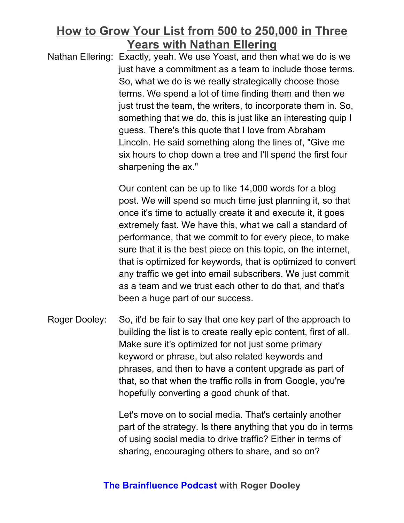Nathan Ellering: Exactly, yeah. We use Yoast, and then what we do is we just have a commitment as a team to include those terms. So, what we do is we really strategically choose those terms. We spend a lot of time finding them and then we just trust the team, the writers, to incorporate them in. So, something that we do, this is just like an interesting quip I guess. There's this quote that I love from Abraham Lincoln. He said something along the lines of, "Give me six hours to chop down a tree and I'll spend the first four sharpening the ax."

> Our content can be up to like 14,000 words for a blog post. We will spend so much time just planning it, so that once it's time to actually create it and execute it, it goes extremely fast. We have this, what we call a standard of performance, that we commit to for every piece, to make sure that it is the best piece on this topic, on the internet, that is optimized for keywords, that is optimized to convert any traffic we get into email subscribers. We just commit as a team and we trust each other to do that, and that's been a huge part of our success.

Roger Dooley: So, it'd be fair to say that one key part of the approach to building the list is to create really epic content, first of all. Make sure it's optimized for not just some primary keyword or phrase, but also related keywords and phrases, and then to have a content upgrade as part of that, so that when the traffic rolls in from Google, you're hopefully converting a good chunk of that.

> Let's move on to social media. That's certainly another part of the strategy. Is there anything that you do in terms of using social media to drive traffic? Either in terms of sharing, encouraging others to share, and so on?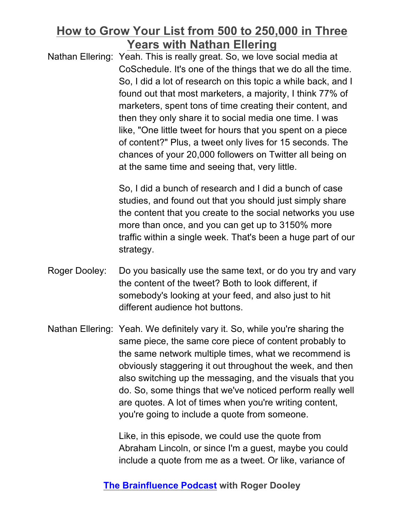Nathan Ellering: Yeah. This is really great. So, we love social media at CoSchedule. It's one of the things that we do all the time. So, I did a lot of research on this topic a while back, and I found out that most marketers, a majority, I think 77% of marketers, spent tons of time creating their content, and then they only share it to social media one time. I was like, "One little tweet for hours that you spent on a piece of content?" Plus, a tweet only lives for 15 seconds. The chances of your 20,000 followers on Twitter all being on at the same time and seeing that, very little.

> So, I did a bunch of research and I did a bunch of case studies, and found out that you should just simply share the content that you create to the social networks you use more than once, and you can get up to 3150% more traffic within a single week. That's been a huge part of our strategy.

- Roger Dooley: Do you basically use the same text, or do you try and vary the content of the tweet? Both to look different, if somebody's looking at your feed, and also just to hit different audience hot buttons.
- Nathan Ellering: Yeah. We definitely vary it. So, while you're sharing the same piece, the same core piece of content probably to the same network multiple times, what we recommend is obviously staggering it out throughout the week, and then also switching up the messaging, and the visuals that you do. So, some things that we've noticed perform really well are quotes. A lot of times when you're writing content, you're going to include a quote from someone.

Like, in this episode, we could use the quote from Abraham Lincoln, or since I'm a guest, maybe you could include a quote from me as a tweet. Or like, variance of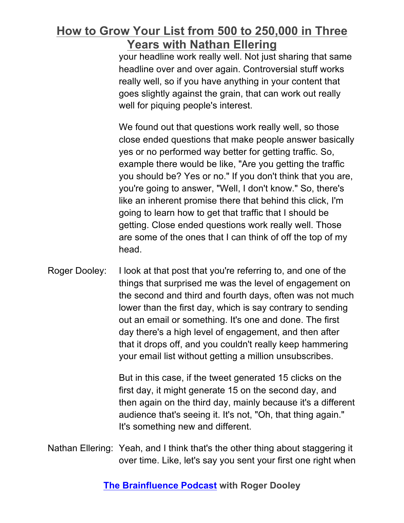your headline work really well. Not just sharing that same headline over and over again. Controversial stuff works really well, so if you have anything in your content that goes slightly against the grain, that can work out really well for piquing people's interest.

We found out that questions work really well, so those close ended questions that make people answer basically yes or no performed way better for getting traffic. So, example there would be like, "Are you getting the traffic you should be? Yes or no." If you don't think that you are, you're going to answer, "Well, I don't know." So, there's like an inherent promise there that behind this click, I'm going to learn how to get that traffic that I should be getting. Close ended questions work really well. Those are some of the ones that I can think of off the top of my head.

Roger Dooley: I look at that post that you're referring to, and one of the things that surprised me was the level of engagement on the second and third and fourth days, often was not much lower than the first day, which is say contrary to sending out an email or something. It's one and done. The first day there's a high level of engagement, and then after that it drops off, and you couldn't really keep hammering your email list without getting a million unsubscribes.

> But in this case, if the tweet generated 15 clicks on the first day, it might generate 15 on the second day, and then again on the third day, mainly because it's a different audience that's seeing it. It's not, "Oh, that thing again." It's something new and different.

Nathan Ellering: Yeah, and I think that's the other thing about staggering it over time. Like, let's say you sent your first one right when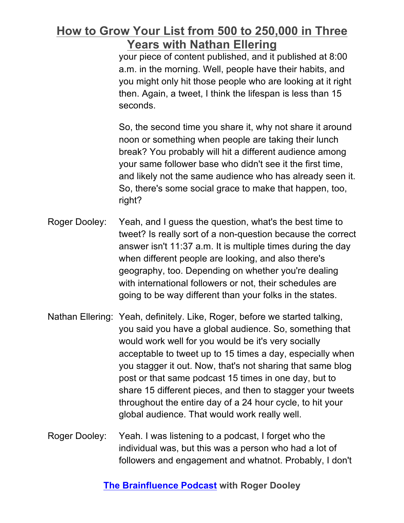your piece of content published, and it published at 8:00 a.m. in the morning. Well, people have their habits, and you might only hit those people who are looking at it right then. Again, a tweet, I think the lifespan is less than 15 seconds.

So, the second time you share it, why not share it around noon or something when people are taking their lunch break? You probably will hit a different audience among your same follower base who didn't see it the first time, and likely not the same audience who has already seen it. So, there's some social grace to make that happen, too, right?

- Roger Dooley: Yeah, and I guess the question, what's the best time to tweet? Is really sort of a non-question because the correct answer isn't 11:37 a.m. It is multiple times during the day when different people are looking, and also there's geography, too. Depending on whether you're dealing with international followers or not, their schedules are going to be way different than your folks in the states.
- Nathan Ellering: Yeah, definitely. Like, Roger, before we started talking, you said you have a global audience. So, something that would work well for you would be it's very socially acceptable to tweet up to 15 times a day, especially when you stagger it out. Now, that's not sharing that same blog post or that same podcast 15 times in one day, but to share 15 different pieces, and then to stagger your tweets throughout the entire day of a 24 hour cycle, to hit your global audience. That would work really well.
- Roger Dooley: Yeah. I was listening to a podcast, I forget who the individual was, but this was a person who had a lot of followers and engagement and whatnot. Probably, I don't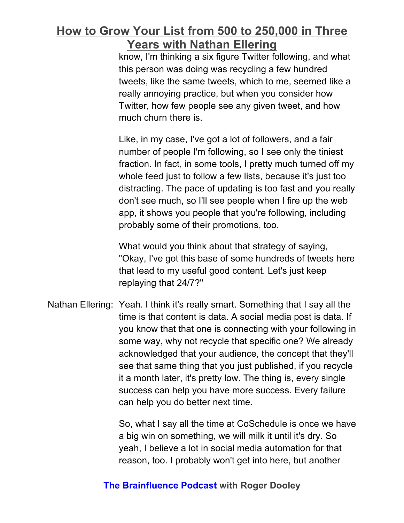know, I'm thinking a six figure Twitter following, and what this person was doing was recycling a few hundred tweets, like the same tweets, which to me, seemed like a really annoying practice, but when you consider how Twitter, how few people see any given tweet, and how much churn there is.

Like, in my case, I've got a lot of followers, and a fair number of people I'm following, so I see only the tiniest fraction. In fact, in some tools, I pretty much turned off my whole feed just to follow a few lists, because it's just too distracting. The pace of updating is too fast and you really don't see much, so I'll see people when I fire up the web app, it shows you people that you're following, including probably some of their promotions, too.

What would you think about that strategy of saying, "Okay, I've got this base of some hundreds of tweets here that lead to my useful good content. Let's just keep replaying that 24/7?"

Nathan Ellering: Yeah. I think it's really smart. Something that I say all the time is that content is data. A social media post is data. If you know that that one is connecting with your following in some way, why not recycle that specific one? We already acknowledged that your audience, the concept that they'll see that same thing that you just published, if you recycle it a month later, it's pretty low. The thing is, every single success can help you have more success. Every failure can help you do better next time.

> So, what I say all the time at CoSchedule is once we have a big win on something, we will milk it until it's dry. So yeah, I believe a lot in social media automation for that reason, too. I probably won't get into here, but another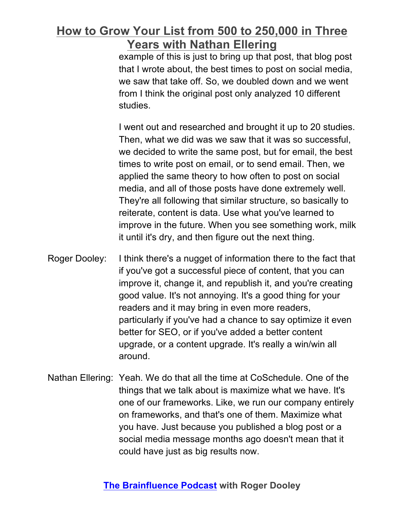example of this is just to bring up that post, that blog post that I wrote about, the best times to post on social media, we saw that take off. So, we doubled down and we went from I think the original post only analyzed 10 different studies.

I went out and researched and brought it up to 20 studies. Then, what we did was we saw that it was so successful, we decided to write the same post, but for email, the best times to write post on email, or to send email. Then, we applied the same theory to how often to post on social media, and all of those posts have done extremely well. They're all following that similar structure, so basically to reiterate, content is data. Use what you've learned to improve in the future. When you see something work, milk it until it's dry, and then figure out the next thing.

- Roger Dooley: I think there's a nugget of information there to the fact that if you've got a successful piece of content, that you can improve it, change it, and republish it, and you're creating good value. It's not annoying. It's a good thing for your readers and it may bring in even more readers, particularly if you've had a chance to say optimize it even better for SEO, or if you've added a better content upgrade, or a content upgrade. It's really a win/win all around.
- Nathan Ellering: Yeah. We do that all the time at CoSchedule. One of the things that we talk about is maximize what we have. It's one of our frameworks. Like, we run our company entirely on frameworks, and that's one of them. Maximize what you have. Just because you published a blog post or a social media message months ago doesn't mean that it could have just as big results now.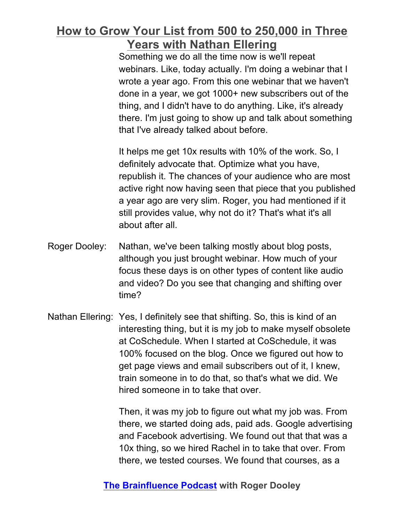Something we do all the time now is we'll repeat webinars. Like, today actually. I'm doing a webinar that I wrote a year ago. From this one webinar that we haven't done in a year, we got 1000+ new subscribers out of the thing, and I didn't have to do anything. Like, it's already there. I'm just going to show up and talk about something that I've already talked about before.

It helps me get 10x results with 10% of the work. So, I definitely advocate that. Optimize what you have, republish it. The chances of your audience who are most active right now having seen that piece that you published a year ago are very slim. Roger, you had mentioned if it still provides value, why not do it? That's what it's all about after all.

- Roger Dooley: Nathan, we've been talking mostly about blog posts, although you just brought webinar. How much of your focus these days is on other types of content like audio and video? Do you see that changing and shifting over time?
- Nathan Ellering: Yes, I definitely see that shifting. So, this is kind of an interesting thing, but it is my job to make myself obsolete at CoSchedule. When I started at CoSchedule, it was 100% focused on the blog. Once we figured out how to get page views and email subscribers out of it, I knew, train someone in to do that, so that's what we did. We hired someone in to take that over.

Then, it was my job to figure out what my job was. From there, we started doing ads, paid ads. Google advertising and Facebook advertising. We found out that that was a 10x thing, so we hired Rachel in to take that over. From there, we tested courses. We found that courses, as a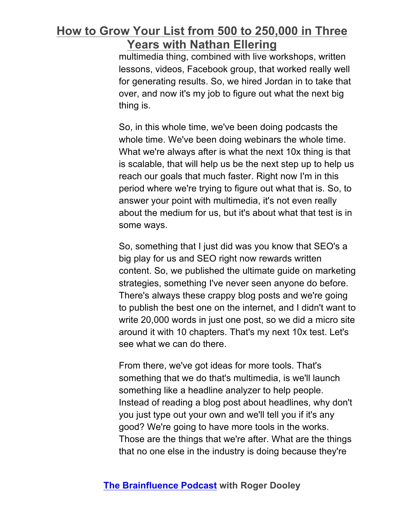multimedia thing, combined with live workshops, written lessons, videos, Facebook group, that worked really well for generating results. So, we hired Jordan in to take that over, and now it's my job to figure out what the next big thing is.

So, in this whole time, we've been doing podcasts the whole time. We've been doing webinars the whole time. What we're always after is what the next 10x thing is that is scalable, that will help us be the next step up to help us reach our goals that much faster. Right now I'm in this period where we're trying to figure out what that is. So, to answer your point with multimedia, it's not even really about the medium for us, but it's about what that test is in some ways.

So, something that I just did was you know that SEO's a big play for us and SEO right now rewards written content. So, we published the ultimate guide on marketing strategies, something I've never seen anyone do before. There's always these crappy blog posts and we're going to publish the best one on the internet, and I didn't want to write 20,000 words in just one post, so we did a micro site around it with 10 chapters. That's my next 10x test. Let's see what we can do there.

From there, we've got ideas for more tools. That's something that we do that's multimedia, is we'll launch something like a headline analyzer to help people. Instead of reading a blog post about headlines, why don't you just type out your own and we'll tell you if it's any good? We're going to have more tools in the works. Those are the things that we're after. What are the things that no one else in the industry is doing because they're